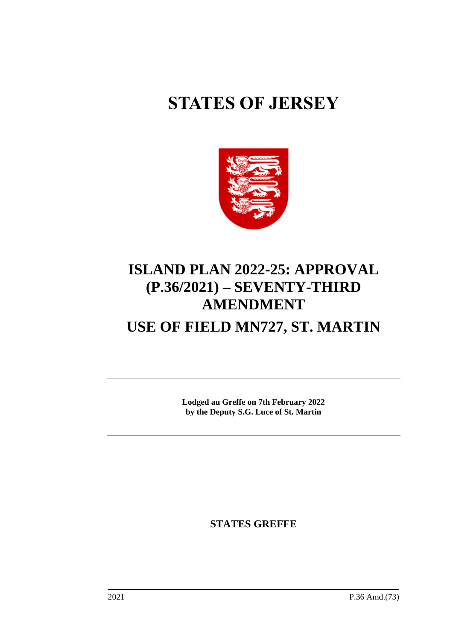# **STATES OF JERSEY**



## **ISLAND PLAN 2022-25: APPROVAL (P.36/2021) – SEVENTY-THIRD AMENDMENT**

## **USE OF FIELD MN727, ST. MARTIN**

**Lodged au Greffe on 7th February 2022 by the Deputy S.G. Luce of St. Martin**

**STATES GREFFE**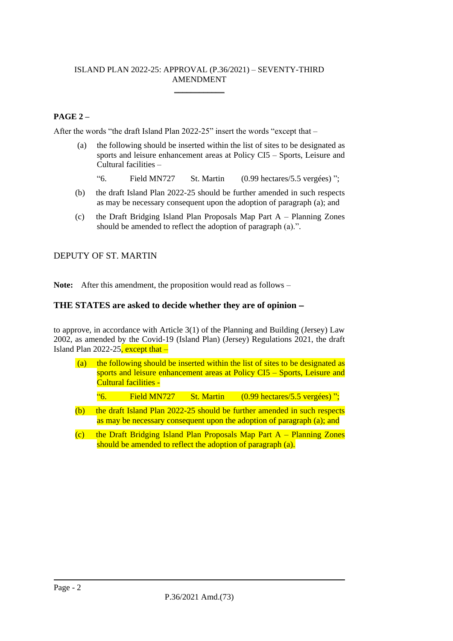#### ISLAND PLAN 2022-25: APPROVAL (P.36/2021) – SEVENTY-THIRD AMENDMENT \_\_\_\_\_\_\_\_\_\_\_\_

#### **PAGE 2 –**

After the words "the draft Island Plan 2022-25" insert the words "except that –

- (a) the following should be inserted within the list of sites to be designated as sports and leisure enhancement areas at Policy CI5 – Sports, Leisure and Cultural facilities –
	- "6. Field MN727 St. Martin (0.99 hectares/5.5 vergées) ";
- (b) the draft Island Plan 2022-25 should be further amended in such respects as may be necessary consequent upon the adoption of paragraph (a); and
- (c) the Draft Bridging Island Plan Proposals Map Part A Planning Zones should be amended to reflect the adoption of paragraph (a).".

### DEPUTY OF ST. MARTIN

**Note:** After this amendment, the proposition would read as follows –

#### **THE STATES are asked to decide whether they are of opinion** −

to approve, in accordance with Article 3(1) of the Planning and Building (Jersey) Law 2002, as amended by the Covid-19 (Island Plan) (Jersey) Regulations 2021, the draft Island Plan 2022-25, except that –

- (a) the following should be inserted within the list of sites to be designated as sports and leisure enhancement areas at Policy CI5 – Sports, Leisure and Cultural facilities -
	- "6. Field MN727 St. Martin (0.99 hectares/5.5 vergées) ";
- (b) the draft Island Plan 2022-25 should be further amended in such respects as may be necessary consequent upon the adoption of paragraph (a); and
- (c) the Draft Bridging Island Plan Proposals Map Part  $A -$  Planning Zones should be amended to reflect the adoption of paragraph (a).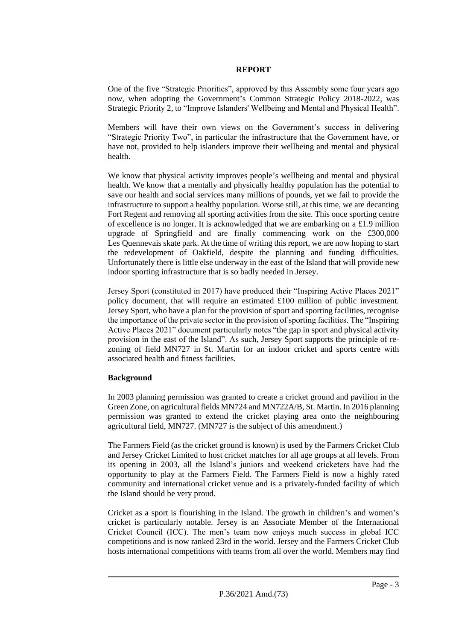#### **REPORT**

One of the five "Strategic Priorities", approved by this Assembly some four years ago now, when adopting the Government's Common Strategic Policy 2018-2022, was Strategic Priority 2, to "Improve Islanders' Wellbeing and Mental and Physical Health".

Members will have their own views on the Government's success in delivering "Strategic Priority Two", in particular the infrastructure that the Government have, or have not, provided to help islanders improve their wellbeing and mental and physical health.

We know that physical activity improves people's wellbeing and mental and physical health. We know that a mentally and physically healthy population has the potential to save our health and social services many millions of pounds, yet we fail to provide the infrastructure to support a healthy population. Worse still, at this time, we are decanting Fort Regent and removing all sporting activities from the site. This once sporting centre of excellence is no longer. It is acknowledged that we are embarking on a £1.9 million upgrade of Springfield and are finally commencing work on the £300,000 Les Quennevais skate park. At the time of writing this report, we are now hoping to start the redevelopment of Oakfield, despite the planning and funding difficulties. Unfortunately there is little else underway in the east of the Island that will provide new indoor sporting infrastructure that is so badly needed in Jersey.

Jersey Sport (constituted in 2017) have produced their "Inspiring Active Places 2021" policy document, that will require an estimated £100 million of public investment. Jersey Sport, who have a plan for the provision of sport and sporting facilities, recognise the importance of the private sector in the provision of sporting facilities. The "Inspiring Active Places 2021" document particularly notes "the gap in sport and physical activity provision in the east of the Island". As such, Jersey Sport supports the principle of rezoning of field MN727 in St. Martin for an indoor cricket and sports centre with associated health and fitness facilities.

#### **Background**

In 2003 planning permission was granted to create a cricket ground and pavilion in the Green Zone, on agricultural fields MN724 and MN722A/B, St. Martin. In 2016 planning permission was granted to extend the cricket playing area onto the neighbouring agricultural field, MN727. (MN727 is the subject of this amendment.)

The Farmers Field (as the cricket ground is known) is used by the Farmers Cricket Club and Jersey Cricket Limited to host cricket matches for all age groups at all levels. From its opening in 2003, all the Island's juniors and weekend cricketers have had the opportunity to play at the Farmers Field. The Farmers Field is now a highly rated community and international cricket venue and is a privately-funded facility of which the Island should be very proud.

Cricket as a sport is flourishing in the Island. The growth in children's and women's cricket is particularly notable. Jersey is an Associate Member of the International Cricket Council (ICC). The men's team now enjoys much success in global ICC competitions and is now ranked 23rd in the world. Jersey and the Farmers Cricket Club hosts international competitions with teams from all over the world. Members may find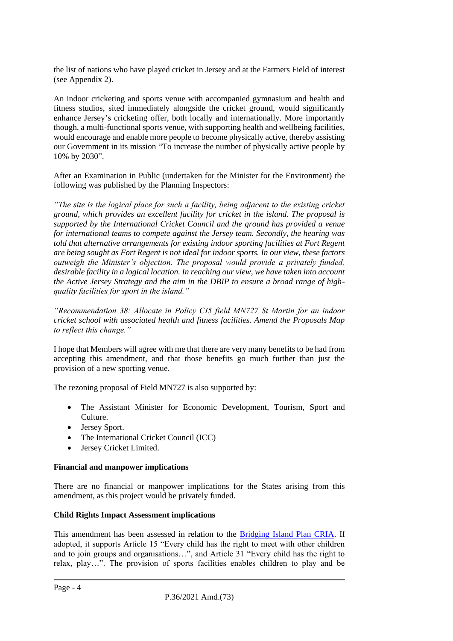the list of nations who have played cricket in Jersey and at the Farmers Field of interest (see Appendix 2).

An indoor cricketing and sports venue with accompanied gymnasium and health and fitness studios, sited immediately alongside the cricket ground, would significantly enhance Jersey's cricketing offer, both locally and internationally. More importantly though, a multi-functional sports venue, with supporting health and wellbeing facilities, would encourage and enable more people to become physically active, thereby assisting our Government in its mission "To increase the number of physically active people by 10% by 2030".

After an Examination in Public (undertaken for the Minister for the Environment) the following was published by the Planning Inspectors:

*"The site is the logical place for such a facility, being adjacent to the existing cricket ground, which provides an excellent facility for cricket in the island. The proposal is supported by the International Cricket Council and the ground has provided a venue for international teams to compete against the Jersey team. Secondly, the hearing was told that alternative arrangements for existing indoor sporting facilities at Fort Regent are being sought as Fort Regent is not ideal for indoor sports. In our view, these factors outweigh the Minister's objection. The proposal would provide a privately funded, desirable facility in a logical location. In reaching our view, we have taken into account the Active Jersey Strategy and the aim in the DBIP to ensure a broad range of highquality facilities for sport in the island."*

*"Recommendation 38: Allocate in Policy CI5 field MN727 St Martin for an indoor cricket school with associated health and fitness facilities. Amend the Proposals Map to reflect this change."* 

I hope that Members will agree with me that there are very many benefits to be had from accepting this amendment, and that those benefits go much further than just the provision of a new sporting venue.

The rezoning proposal of Field MN727 is also supported by:

- The Assistant Minister for Economic Development, Tourism, Sport and Culture.
- Jersey Sport.
- The International Cricket Council (ICC)
- Jersey Cricket Limited.

#### **Financial and manpower implications**

There are no financial or manpower implications for the States arising from this amendment, as this project would be privately funded.

#### **Child Rights Impact Assessment implications**

This amendment has been assessed in relation to the [Bridging Island Plan CRIA.](https://www.gov.je/SiteCollectionDocuments/Planning%20and%20building/R%20Children%27s%20Rights%20Impact%20Assessment%20ND.pdf) If adopted, it supports Article 15 "Every child has the right to meet with other children and to join groups and organisations…", and Article 31 "Every child has the right to relax, play…". The provision of sports facilities enables children to play and be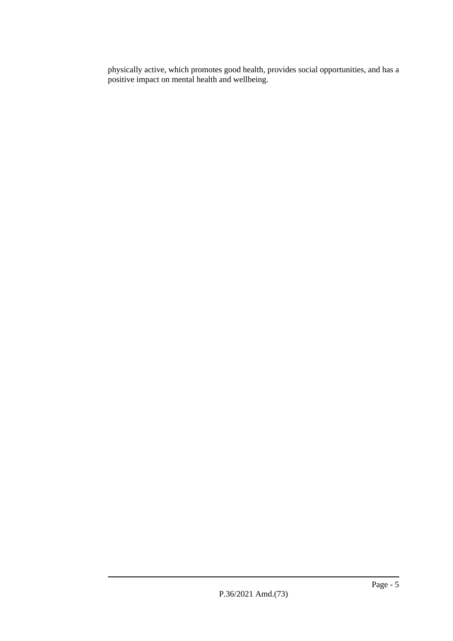physically active, which promotes good health, provides social opportunities, and has a positive impact on mental health and wellbeing.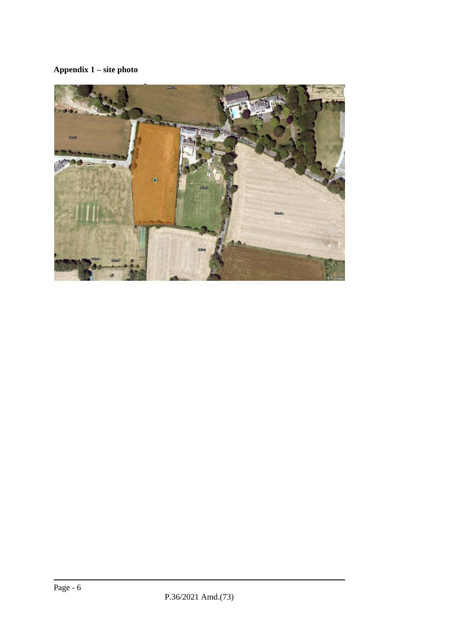### **Appendix 1 – site photo**